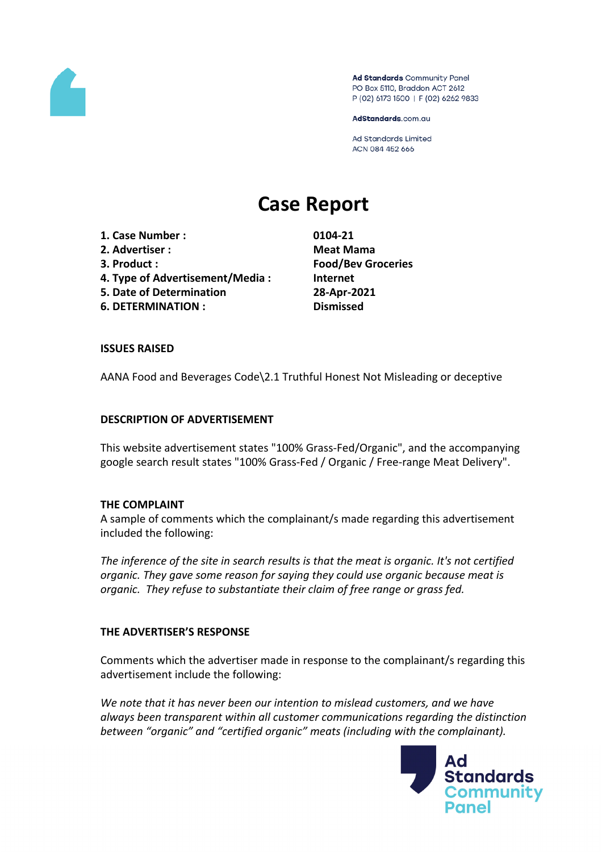

Ad Standards Community Panel PO Box 5110, Braddon ACT 2612 P (02) 6173 1500 | F (02) 6262 9833

AdStandards.com.au

Ad Standards Limited ACN 084 452 666

# **Case Report**

- **1. Case Number : 0104-21 2. Advertiser : Meat Mama**
- 
- **4. Type of Advertisement/Media : Internet**
- **5. Date of Determination 28-Apr-2021**
- **6. DETERMINATION : Dismissed**

**3. Product : Food/Bev Groceries**

## **ISSUES RAISED**

AANA Food and Beverages Code\2.1 Truthful Honest Not Misleading or deceptive

### **DESCRIPTION OF ADVERTISEMENT**

This website advertisement states "100% Grass-Fed/Organic", and the accompanying google search result states "100% Grass-Fed / Organic / Free-range Meat Delivery".

### **THE COMPLAINT**

A sample of comments which the complainant/s made regarding this advertisement included the following:

*The inference of the site in search results is that the meat is organic. It's not certified organic. They gave some reason for saying they could use organic because meat is organic. They refuse to substantiate their claim of free range or grass fed.*

# **THE ADVERTISER'S RESPONSE**

Comments which the advertiser made in response to the complainant/s regarding this advertisement include the following:

*We note that it has never been our intention to mislead customers, and we have always been transparent within all customer communications regarding the distinction between "organic" and "certified organic" meats (including with the complainant).*

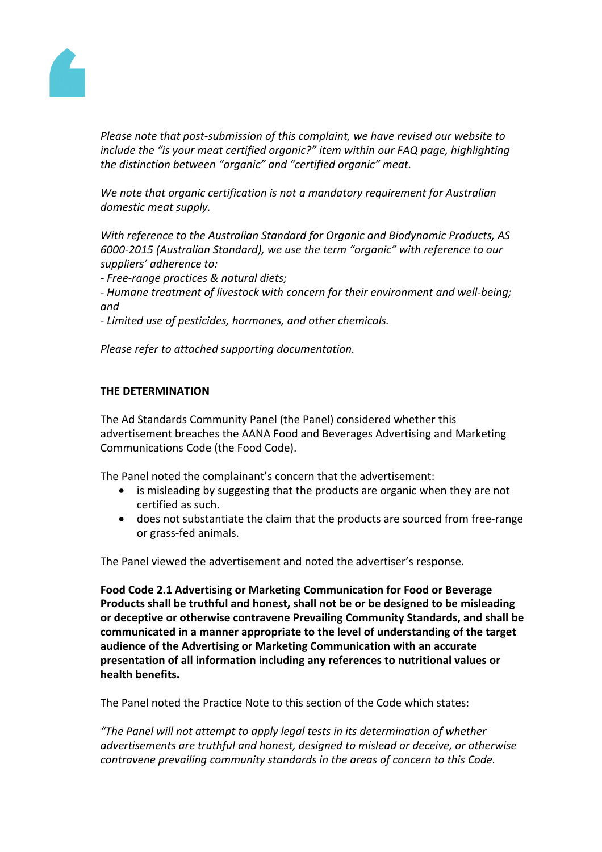

*Please note that post-submission of this complaint, we have revised our website to include the "is your meat certified organic?" item within our FAQ page, highlighting the distinction between "organic" and "certified organic" meat.*

*We note that organic certification is not a mandatory requirement for Australian domestic meat supply.*

*With reference to the Australian Standard for Organic and Biodynamic Products, AS 6000-2015 (Australian Standard), we use the term "organic" with reference to our suppliers' adherence to:*

*- Free-range practices & natural diets;*

*- Humane treatment of livestock with concern for their environment and well-being; and*

*- Limited use of pesticides, hormones, and other chemicals.*

*Please refer to attached supporting documentation.*

### **THE DETERMINATION**

The Ad Standards Community Panel (the Panel) considered whether this advertisement breaches the AANA Food and Beverages Advertising and Marketing Communications Code (the Food Code).

The Panel noted the complainant's concern that the advertisement:

- is misleading by suggesting that the products are organic when they are not certified as such.
- does not substantiate the claim that the products are sourced from free-range or grass-fed animals.

The Panel viewed the advertisement and noted the advertiser's response.

**Food Code 2.1 Advertising or Marketing Communication for Food or Beverage Products shall be truthful and honest, shall not be or be designed to be misleading or deceptive or otherwise contravene Prevailing Community Standards, and shall be communicated in a manner appropriate to the level of understanding of the target audience of the Advertising or Marketing Communication with an accurate presentation of all information including any references to nutritional values or health benefits.**

The Panel noted the Practice Note to this section of the Code which states:

*"The Panel will not attempt to apply legal tests in its determination of whether advertisements are truthful and honest, designed to mislead or deceive, or otherwise contravene prevailing community standards in the areas of concern to this Code.*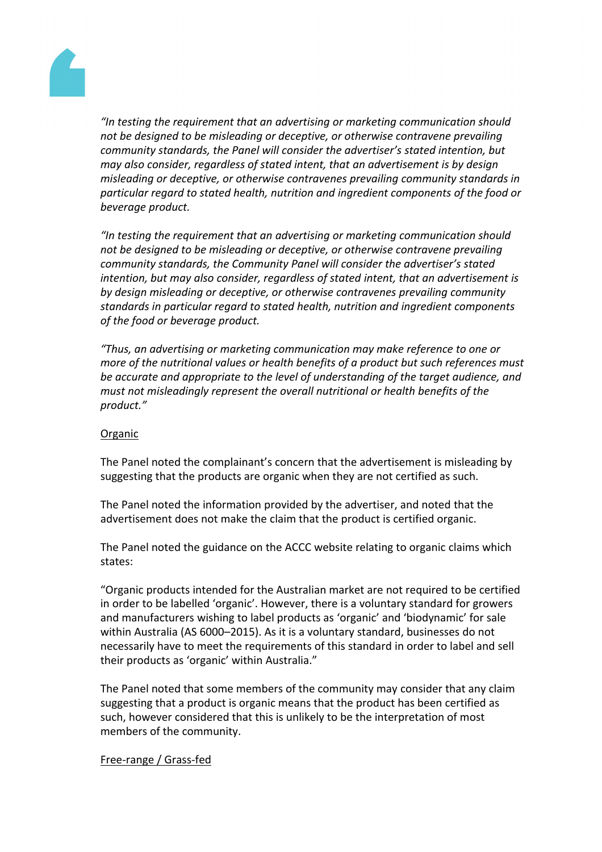

*"In testing the requirement that an advertising or marketing communication should not be designed to be misleading or deceptive, or otherwise contravene prevailing community standards, the Panel will consider the advertiser's stated intention, but may also consider, regardless of stated intent, that an advertisement is by design misleading or deceptive, or otherwise contravenes prevailing community standards in particular regard to stated health, nutrition and ingredient components of the food or beverage product.*

*"In testing the requirement that an advertising or marketing communication should not be designed to be misleading or deceptive, or otherwise contravene prevailing community standards, the Community Panel will consider the advertiser's stated intention, but may also consider, regardless of stated intent, that an advertisement is by design misleading or deceptive, or otherwise contravenes prevailing community standards in particular regard to stated health, nutrition and ingredient components of the food or beverage product.*

*"Thus, an advertising or marketing communication may make reference to one or more of the nutritional values or health benefits of a product but such references must be accurate and appropriate to the level of understanding of the target audience, and must not misleadingly represent the overall nutritional or health benefits of the product."*

### Organic

The Panel noted the complainant's concern that the advertisement is misleading by suggesting that the products are organic when they are not certified as such.

The Panel noted the information provided by the advertiser, and noted that the advertisement does not make the claim that the product is certified organic.

The Panel noted the guidance on the ACCC website relating to organic claims which states:

"Organic products intended for the Australian market are not required to be certified in order to be labelled 'organic'. However, there is a voluntary standard for growers and manufacturers wishing to label products as 'organic' and 'biodynamic' for sale within Australia (AS 6000–2015). As it is a voluntary standard, businesses do not necessarily have to meet the requirements of this standard in order to label and sell their products as 'organic' within Australia."

The Panel noted that some members of the community may consider that any claim suggesting that a product is organic means that the product has been certified as such, however considered that this is unlikely to be the interpretation of most members of the community.

### Free-range / Grass-fed